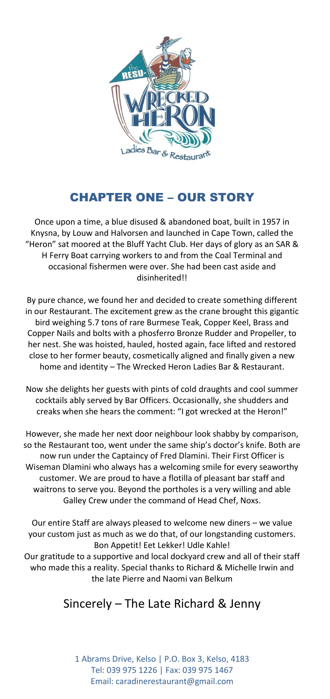

# CHAPTER ONE – OUR STORY

Once upon a time, a blue disused & abandoned boat, built in 1957 in Knysna, by Louw and Halvorsen and launched in Cape Town, called the "Heron" sat moored at the Bluff Yacht Club. Her days of glory as an SAR & H Ferry Boat carrying workers to and from the Coal Terminal and occasional fishermen were over. She had been cast aside and disinherited!!

By pure chance, we found her and decided to create something different in our Restaurant. The excitement grew as the crane brought this gigantic bird weighing 5.7 tons of rare Burmese Teak, Copper Keel, Brass and Copper Nails and bolts with a phosferro Bronze Rudder and Propeller, to her nest. She was hoisted, hauled, hosted again, face lifted and restored close to her former beauty, cosmetically aligned and finally given a new home and identity – The Wrecked Heron Ladies Bar & Restaurant.

Now she delights her guests with pints of cold draughts and cool summer cocktails ably served by Bar Officers. Occasionally, she shudders and creaks when she hears the comment: "I got wrecked at the Heron!"

However, she made her next door neighbour look shabby by comparison, so the Restaurant too, went under the same ship's doctor's knife. Both are now run under the Captaincy of Fred Dlamini. Their First Officer is Wiseman Dlamini who always has a welcoming smile for every seaworthy customer. We are proud to have a flotilla of pleasant bar staff and waitrons to serve you. Beyond the portholes is a very willing and able Galley Crew under the command of Head Chef, Noxs.

Our entire Staff are always pleased to welcome new diners – we value your custom just as much as we do that, of our longstanding customers. Bon Appetit! Eet Lekker! Udle Kahle! Our gratitude to a supportive and local dockyard crew and all of their staff who made this a reality. Special thanks to Richard & Michelle Irwin and the late Pierre and Naomi van Belkum

# Sincerely – The Late Richard & Jenny

1 Abrams Drive, Kelso | P.O. Box 3, Kelso, 4183 Tel: 039 975 1226 | Fax: 039 975 1467 Email: caradinerestaurant@gmail.com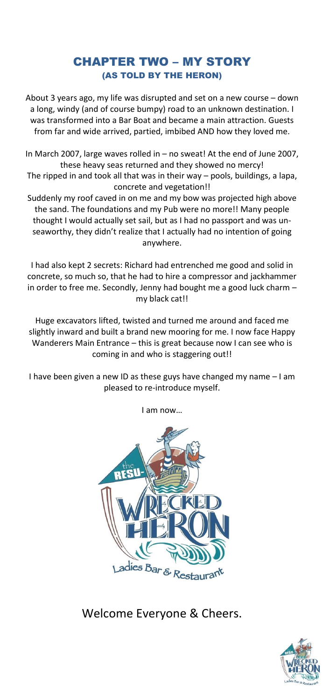# CHAPTER TWO – MY STORY (AS TOLD BY THE HERON)

About 3 years ago, my life was disrupted and set on a new course – down a long, windy (and of course bumpy) road to an unknown destination. I was transformed into a Bar Boat and became a main attraction. Guests from far and wide arrived, partied, imbibed AND how they loved me.

In March 2007, large waves rolled in – no sweat! At the end of June 2007, these heavy seas returned and they showed no mercy! The ripped in and took all that was in their way – pools, buildings, a lapa, concrete and vegetation!!

Suddenly my roof caved in on me and my bow was projected high above the sand. The foundations and my Pub were no more!! Many people thought I would actually set sail, but as I had no passport and was unseaworthy, they didn't realize that I actually had no intention of going anywhere.

I had also kept 2 secrets: Richard had entrenched me good and solid in concrete, so much so, that he had to hire a compressor and jackhammer in order to free me. Secondly, Jenny had bought me a good luck charm – my black cat!!

Huge excavators lifted, twisted and turned me around and faced me slightly inward and built a brand new mooring for me. I now face Happy Wanderers Main Entrance – this is great because now I can see who is coming in and who is staggering out!!

I have been given a new ID as these guys have changed my name – I am pleased to re-introduce myself.

I am now…



Welcome Everyone & Cheers.

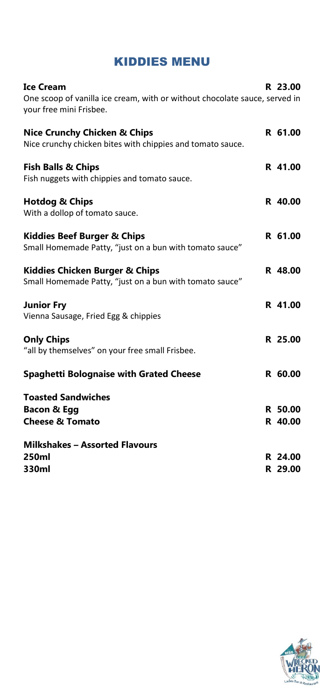# KIDDIES MENU

| <b>Ice Cream</b><br>One scoop of vanilla ice cream, with or without chocolate sauce, served in<br>your free mini Frisbee. | R 23.00            |
|---------------------------------------------------------------------------------------------------------------------------|--------------------|
| <b>Nice Crunchy Chicken &amp; Chips</b><br>Nice crunchy chicken bites with chippies and tomato sauce.                     | R 61.00            |
| <b>Fish Balls &amp; Chips</b><br>Fish nuggets with chippies and tomato sauce.                                             | R 41.00            |
| <b>Hotdog &amp; Chips</b><br>With a dollop of tomato sauce.                                                               | R 40.00            |
| <b>Kiddies Beef Burger &amp; Chips</b><br>Small Homemade Patty, "just on a bun with tomato sauce"                         | R 61.00            |
| <b>Kiddies Chicken Burger &amp; Chips</b><br>Small Homemade Patty, "just on a bun with tomato sauce"                      | R 48.00            |
| <b>Junior Fry</b><br>Vienna Sausage, Fried Egg & chippies                                                                 | R 41.00            |
| <b>Only Chips</b><br>"all by themselves" on your free small Frisbee.                                                      | R 25.00            |
| <b>Spaghetti Bolognaise with Grated Cheese</b>                                                                            | R 60.00            |
| <b>Toasted Sandwiches</b><br><b>Bacon &amp; Egg</b><br><b>Cheese &amp; Tomato</b>                                         | R 50.00<br>R 40.00 |
| <b>Milkshakes - Assorted Flavours</b><br>250ml                                                                            | R 24.00            |
| 330ml                                                                                                                     | R 29.00            |

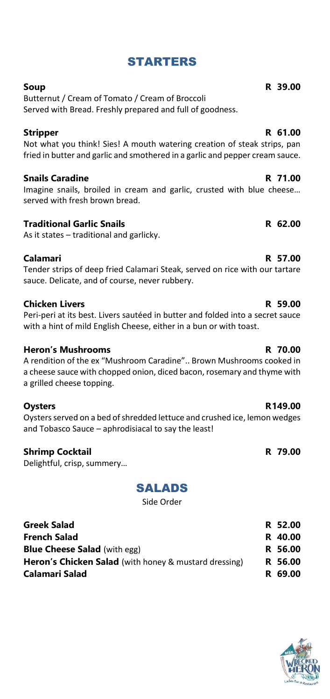# STARTERS

Butternut / Cream of Tomato / Cream of Broccoli Served with Bread. Freshly prepared and full of goodness.

# **Stripper R 61.00**

Not what you think! Sies! A mouth watering creation of steak strips, pan fried in butter and garlic and smothered in a garlic and pepper cream sauce.

# **Snails Caradine R 71.00**

Imagine snails, broiled in cream and garlic, crusted with blue cheese… served with fresh brown bread.

# **Traditional Garlic Snails R 62.00**

As it states – traditional and garlicky.

# **Calamari R 57.00**

Tender strips of deep fried Calamari Steak, served on rice with our tartare sauce. Delicate, and of course, never rubbery.

# **Chicken Livers R 59.00**

Peri-peri at its best. Livers sautéed in butter and folded into a secret sauce with a hint of mild English Cheese, either in a bun or with toast.

# **Heron's Mushrooms R 70.00**

A rendition of the ex "Mushroom Caradine".. Brown Mushrooms cooked in a cheese sauce with chopped onion, diced bacon, rosemary and thyme with a grilled cheese topping.

Oysters served on a bed of shredded lettuce and crushed ice, lemon wedges and Tobasco Sauce – aphrodisiacal to say the least!

# **Shrimp Cocktail R 79.00**

Delightful, crisp, summery…

# SALADS

Side Order

| <b>Greek Salad</b>                                           | R 52.00 |
|--------------------------------------------------------------|---------|
| <b>French Salad</b>                                          | R 40.00 |
| <b>Blue Cheese Salad</b> (with egg)                          | R 56.00 |
| <b>Heron's Chicken Salad</b> (with honey & mustard dressing) | R 56.00 |
| Calamari Salad                                               | R 69.00 |



### **Soup R 39.00**

### **Oysters R149.00**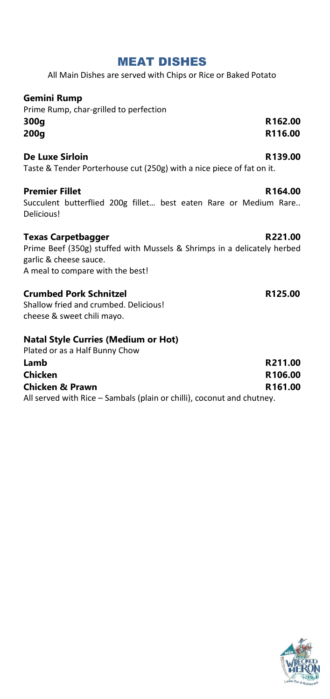# MEAT DISHES

All Main Dishes are served with Chips or Rice or Baked Potato

# **Gemini Rump**

Prime Rump, char-grilled to perfection **300g R162.00 200g R116.00**

# **De Luxe Sirloin R139.00**

Taste & Tender Porterhouse cut (250g) with a nice piece of fat on it.

### **Premier Fillet R164.00**

Succulent butterflied 200g fillet… best eaten Rare or Medium Rare.. Delicious!

# **Texas Carpetbagger R221.00**

Prime Beef (350g) stuffed with Mussels & Shrimps in a delicately herbed garlic & cheese sauce. A meal to compare with the best!

# **Crumbed Pork Schnitzel R125.00**

Shallow fried and crumbed. Delicious! cheese & sweet chili mayo.

### **Natal Style Curries (Medium or Hot)**

Plated or as a Half Bunny Chow

| Lamb                                                                   | R211.00             |
|------------------------------------------------------------------------|---------------------|
| <b>Chicken</b>                                                         | R <sub>106.00</sub> |
| <b>Chicken &amp; Prawn</b>                                             | R <sub>161.00</sub> |
| All served with Rice – Sambals (plain or chilli), coconut and chutney. |                     |

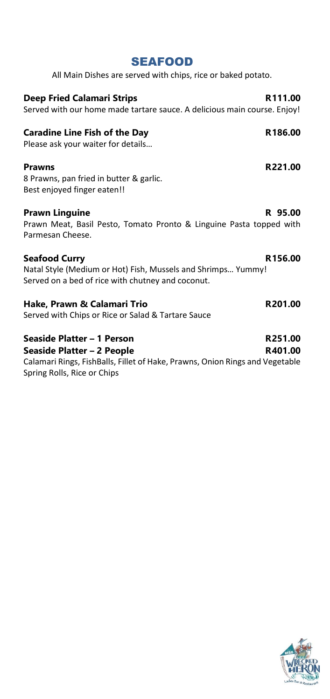| <b>SEAFOOD</b>                                                                                                                            |                    |
|-------------------------------------------------------------------------------------------------------------------------------------------|--------------------|
| All Main Dishes are served with chips, rice or baked potato.                                                                              |                    |
| <b>Deep Fried Calamari Strips</b><br>Served with our home made tartare sauce. A delicious main course. Enjoy!                             | R111.00            |
| <b>Caradine Line Fish of the Day</b><br>Please ask your waiter for details                                                                | R186.00            |
| <b>Prawns</b><br>8 Prawns, pan fried in butter & garlic.<br>Best enjoyed finger eaten!!                                                   | R221.00            |
| <b>Prawn Linguine</b><br>Prawn Meat, Basil Pesto, Tomato Pronto & Linguine Pasta topped with<br>Parmesan Cheese.                          | R 95.00            |
| <b>Seafood Curry</b><br>Natal Style (Medium or Hot) Fish, Mussels and Shrimps Yummy!<br>Served on a bed of rice with chutney and coconut. | R156.00            |
| Hake, Prawn & Calamari Trio<br>Served with Chips or Rice or Salad & Tartare Sauce                                                         | R201.00            |
| Seaside Platter - 1 Person<br>Seaside Platter – 2 People<br>Calamari Rings, FishBalls, Fillet of Hake, Prawns, Onion Rings and Vegetable  | R251.00<br>R401.00 |

Spring Rolls, Rice or Chips

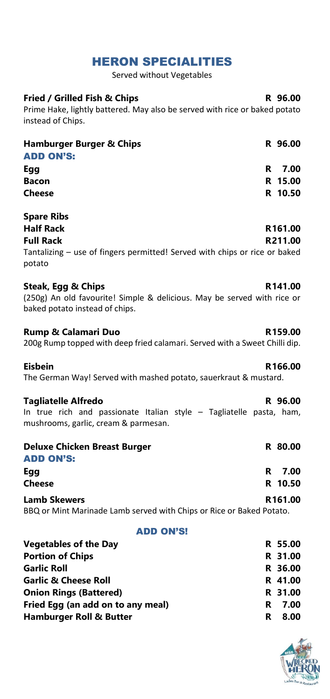# HERON SPECIALITIES

Served without Vegetables

| <b>Fried / Grilled Fish &amp; Chips</b>                                                                      |    | R 96.00            |
|--------------------------------------------------------------------------------------------------------------|----|--------------------|
| Prime Hake, lightly battered. May also be served with rice or baked potato<br>instead of Chips.              |    |                    |
| <b>Hamburger Burger &amp; Chips</b><br><b>ADD ON'S:</b>                                                      |    | R 96.00            |
| Egg                                                                                                          | R  | 7.00               |
| <b>Bacon</b>                                                                                                 |    | R 15.00            |
| <b>Cheese</b>                                                                                                |    | R 10.50            |
| <b>Spare Ribs</b>                                                                                            |    |                    |
| <b>Half Rack</b>                                                                                             |    | R161.00            |
| <b>Full Rack</b><br>Tantalizing - use of fingers permitted! Served with chips or rice or baked<br>potato     |    | R211.00            |
| <b>Steak, Egg &amp; Chips</b>                                                                                |    | R141.00            |
| (250g) An old favourite! Simple & delicious. May be served with rice or<br>baked potato instead of chips.    |    |                    |
| <b>Rump &amp; Calamari Duo</b><br>200g Rump topped with deep fried calamari. Served with a Sweet Chilli dip. |    | R159.00            |
| <b>Eisbein</b><br>The German Way! Served with mashed potato, sauerkraut & mustard.                           |    | R166.00            |
| <b>Tagliatelle Alfredo</b>                                                                                   |    | R 96.00            |
| In true rich and passionate Italian style - Tagliatelle pasta, ham,<br>mushrooms, garlic, cream & parmesan.  |    |                    |
| <b>Deluxe Chicken Breast Burger</b><br><b>ADD ON'S:</b>                                                      |    | R 80.00            |
| Egg                                                                                                          | R  | 7.00               |
| <b>Cheese</b>                                                                                                |    | R 10.50            |
| <b>Lamb Skewers</b><br>BBQ or Mint Marinade Lamb served with Chips or Rice or Baked Potato.                  |    | R161.00            |
| <b>ADD ON'S!</b>                                                                                             |    |                    |
| <b>Vegetables of the Day</b>                                                                                 |    | R 55.00            |
| <b>Portion of Chips</b>                                                                                      | R. | 31.00              |
| <b>Garlic Roll</b>                                                                                           |    | R 36.00            |
| <b>Garlic &amp; Cheese Roll</b><br><b>Onion Rings (Battered)</b>                                             |    | R 41.00<br>R 31.00 |
| Fried Egg (an add on to any meal)                                                                            | R. | 7.00               |

**Hamburger Roll & Butter R 8.00**

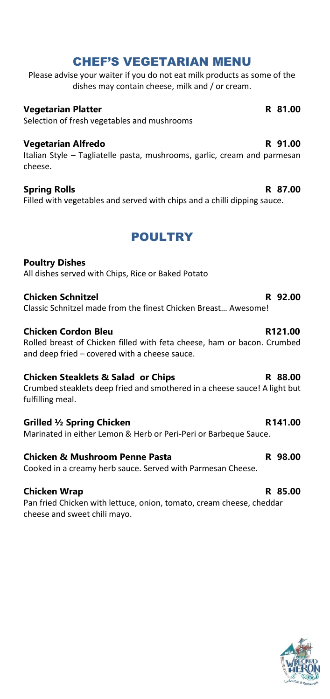# CHEF'S VEGETARIAN MENU

Please advise your waiter if you do not eat milk products as some of the dishes may contain cheese, milk and / or cream.

# **Vegetarian Platter R 81.00**

Selection of fresh vegetables and mushrooms

### **Vegetarian Alfredo R 91.00**

Italian Style – Tagliatelle pasta, mushrooms, garlic, cream and parmesan cheese.

# **Spring Rolls R 87.00**

Filled with vegetables and served with chips and a chilli dipping sauce.

# POULTRY

# **Poultry Dishes** All dishes served with Chips, Rice or Baked Potato

# **Chicken Schnitzel R 92.00**

Classic Schnitzel made from the finest Chicken Breast… Awesome!

# **Chicken Cordon Bleu R121.00**

Rolled breast of Chicken filled with feta cheese, ham or bacon. Crumbed and deep fried – covered with a cheese sauce.

# **Chicken Steaklets & Salad or Chips R 88.00**

Crumbed steaklets deep fried and smothered in a cheese sauce! A light but fulfilling meal.

# Grilled <sup>1</sup>/<sub>2</sub> Spring Chicken **R141.00**

Marinated in either Lemon & Herb or Peri-Peri or Barbeque Sauce.

# **Chicken & Mushroom Penne Pasta R** 98.00

Cooked in a creamy herb sauce. Served with Parmesan Cheese.

# **Chicken Wrap R 85.00**

Pan fried Chicken with lettuce, onion, tomato, cream cheese, cheddar cheese and sweet chili mayo.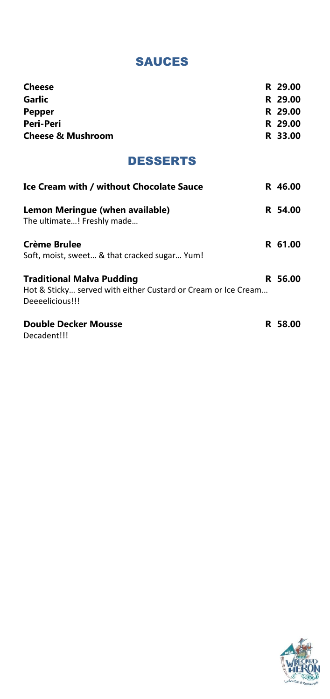# SAUCES

| <b>Cheese</b>                                                                                                        | R 29.00 |
|----------------------------------------------------------------------------------------------------------------------|---------|
| <b>Garlic</b>                                                                                                        | R 29.00 |
| <b>Pepper</b>                                                                                                        | R 29.00 |
| <b>Peri-Peri</b>                                                                                                     | R 29.00 |
| <b>Cheese &amp; Mushroom</b>                                                                                         | R 33.00 |
| <b>DESSERTS</b>                                                                                                      |         |
| <b>Ice Cream with / without Chocolate Sauce</b>                                                                      | R 46.00 |
| Lemon Meringue (when available)<br>The ultimate! Freshly made                                                        | R 54.00 |
| <b>Crème Brulee</b><br>Soft, moist, sweet & that cracked sugar Yum!                                                  | R 61.00 |
| <b>Traditional Malva Pudding</b><br>Hot & Sticky served with either Custard or Cream or Ice Cream<br>Deeeelicious!!! | R 56.00 |
| <b>Double Decker Mousse</b><br>Decadent!!!                                                                           | R 58.00 |